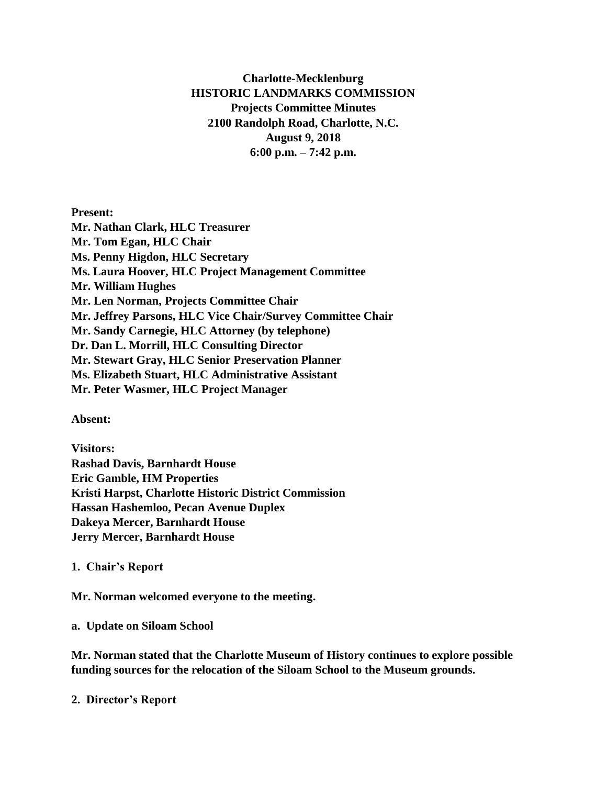# **Charlotte-Mecklenburg HISTORIC LANDMARKS COMMISSION Projects Committee Minutes 2100 Randolph Road, Charlotte, N.C. August 9, 2018 6:00 p.m. – 7:42 p.m.**

**Present: Mr. Nathan Clark, HLC Treasurer Mr. Tom Egan, HLC Chair Ms. Penny Higdon, HLC Secretary Ms. Laura Hoover, HLC Project Management Committee Mr. William Hughes Mr. Len Norman, Projects Committee Chair Mr. Jeffrey Parsons, HLC Vice Chair/Survey Committee Chair Mr. Sandy Carnegie, HLC Attorney (by telephone) Dr. Dan L. Morrill, HLC Consulting Director Mr. Stewart Gray, HLC Senior Preservation Planner Ms. Elizabeth Stuart, HLC Administrative Assistant Mr. Peter Wasmer, HLC Project Manager**

**Absent:**

**Visitors: Rashad Davis, Barnhardt House Eric Gamble, HM Properties Kristi Harpst, Charlotte Historic District Commission Hassan Hashemloo, Pecan Avenue Duplex Dakeya Mercer, Barnhardt House Jerry Mercer, Barnhardt House**

**1. Chair's Report**

**Mr. Norman welcomed everyone to the meeting.**

**a. Update on Siloam School**

**Mr. Norman stated that the Charlotte Museum of History continues to explore possible funding sources for the relocation of the Siloam School to the Museum grounds.** 

**2. Director's Report**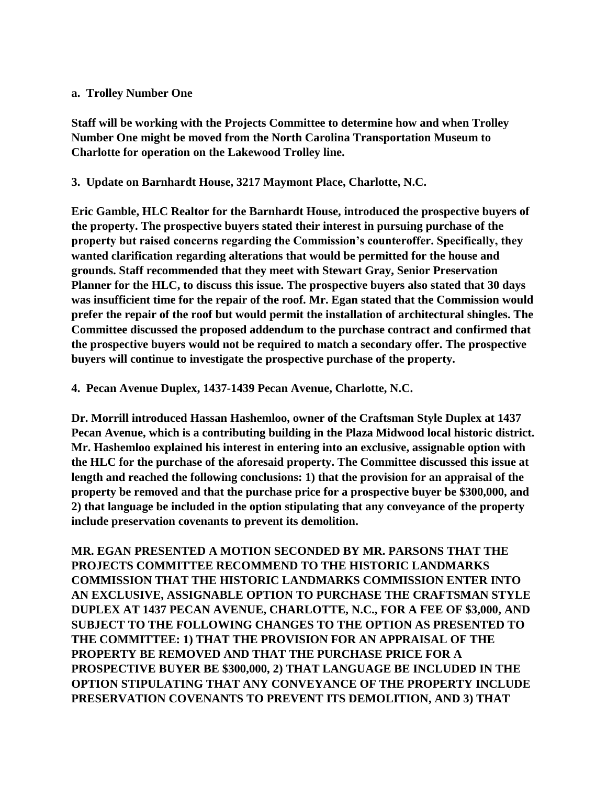#### **a. Trolley Number One**

**Staff will be working with the Projects Committee to determine how and when Trolley Number One might be moved from the North Carolina Transportation Museum to Charlotte for operation on the Lakewood Trolley line.**

### **3. Update on Barnhardt House, 3217 Maymont Place, Charlotte, N.C.**

**Eric Gamble, HLC Realtor for the Barnhardt House, introduced the prospective buyers of the property. The prospective buyers stated their interest in pursuing purchase of the property but raised concerns regarding the Commission's counteroffer. Specifically, they wanted clarification regarding alterations that would be permitted for the house and grounds. Staff recommended that they meet with Stewart Gray, Senior Preservation Planner for the HLC, to discuss this issue. The prospective buyers also stated that 30 days was insufficient time for the repair of the roof. Mr. Egan stated that the Commission would prefer the repair of the roof but would permit the installation of architectural shingles. The Committee discussed the proposed addendum to the purchase contract and confirmed that the prospective buyers would not be required to match a secondary offer. The prospective buyers will continue to investigate the prospective purchase of the property.** 

**4. Pecan Avenue Duplex, 1437-1439 Pecan Avenue, Charlotte, N.C.**

**Dr. Morrill introduced Hassan Hashemloo, owner of the Craftsman Style Duplex at 1437 Pecan Avenue, which is a contributing building in the Plaza Midwood local historic district. Mr. Hashemloo explained his interest in entering into an exclusive, assignable option with the HLC for the purchase of the aforesaid property. The Committee discussed this issue at length and reached the following conclusions: 1) that the provision for an appraisal of the property be removed and that the purchase price for a prospective buyer be \$300,000, and 2) that language be included in the option stipulating that any conveyance of the property include preservation covenants to prevent its demolition.**

**MR. EGAN PRESENTED A MOTION SECONDED BY MR. PARSONS THAT THE PROJECTS COMMITTEE RECOMMEND TO THE HISTORIC LANDMARKS COMMISSION THAT THE HISTORIC LANDMARKS COMMISSION ENTER INTO AN EXCLUSIVE, ASSIGNABLE OPTION TO PURCHASE THE CRAFTSMAN STYLE DUPLEX AT 1437 PECAN AVENUE, CHARLOTTE, N.C., FOR A FEE OF \$3,000, AND SUBJECT TO THE FOLLOWING CHANGES TO THE OPTION AS PRESENTED TO THE COMMITTEE: 1) THAT THE PROVISION FOR AN APPRAISAL OF THE PROPERTY BE REMOVED AND THAT THE PURCHASE PRICE FOR A PROSPECTIVE BUYER BE \$300,000, 2) THAT LANGUAGE BE INCLUDED IN THE OPTION STIPULATING THAT ANY CONVEYANCE OF THE PROPERTY INCLUDE PRESERVATION COVENANTS TO PREVENT ITS DEMOLITION, AND 3) THAT**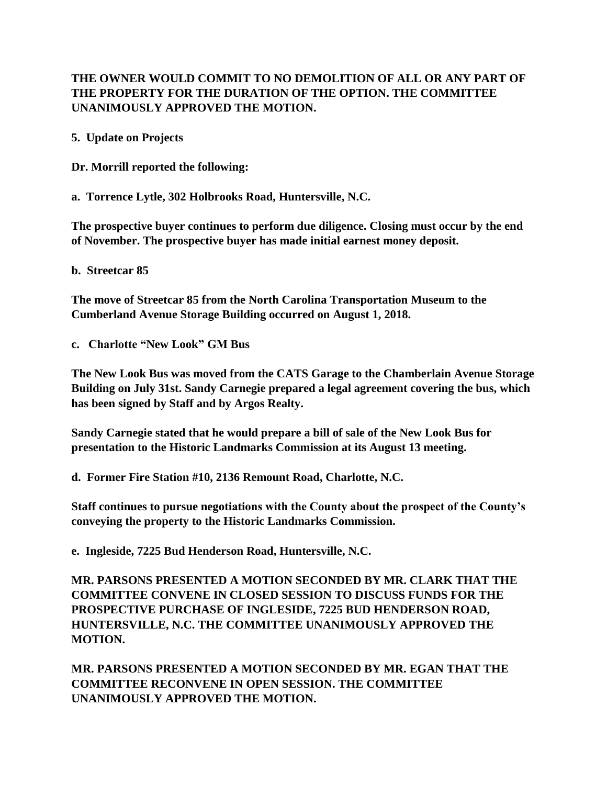# **THE OWNER WOULD COMMIT TO NO DEMOLITION OF ALL OR ANY PART OF THE PROPERTY FOR THE DURATION OF THE OPTION. THE COMMITTEE UNANIMOUSLY APPROVED THE MOTION.**

**5. Update on Projects**

**Dr. Morrill reported the following:**

**a. Torrence Lytle, 302 Holbrooks Road, Huntersville, N.C.**

**The prospective buyer continues to perform due diligence. Closing must occur by the end of November. The prospective buyer has made initial earnest money deposit.**

**b. Streetcar 85**

**The move of Streetcar 85 from the North Carolina Transportation Museum to the Cumberland Avenue Storage Building occurred on August 1, 2018.**

**c. Charlotte "New Look" GM Bus**

**The New Look Bus was moved from the CATS Garage to the Chamberlain Avenue Storage Building on July 31st. Sandy Carnegie prepared a legal agreement covering the bus, which has been signed by Staff and by Argos Realty.**

**Sandy Carnegie stated that he would prepare a bill of sale of the New Look Bus for presentation to the Historic Landmarks Commission at its August 13 meeting.** 

**d. Former Fire Station #10, 2136 Remount Road, Charlotte, N.C.**

**Staff continues to pursue negotiations with the County about the prospect of the County's conveying the property to the Historic Landmarks Commission.**

**e. Ingleside, 7225 Bud Henderson Road, Huntersville, N.C.**

**MR. PARSONS PRESENTED A MOTION SECONDED BY MR. CLARK THAT THE COMMITTEE CONVENE IN CLOSED SESSION TO DISCUSS FUNDS FOR THE PROSPECTIVE PURCHASE OF INGLESIDE, 7225 BUD HENDERSON ROAD, HUNTERSVILLE, N.C. THE COMMITTEE UNANIMOUSLY APPROVED THE MOTION.** 

**MR. PARSONS PRESENTED A MOTION SECONDED BY MR. EGAN THAT THE COMMITTEE RECONVENE IN OPEN SESSION. THE COMMITTEE UNANIMOUSLY APPROVED THE MOTION.**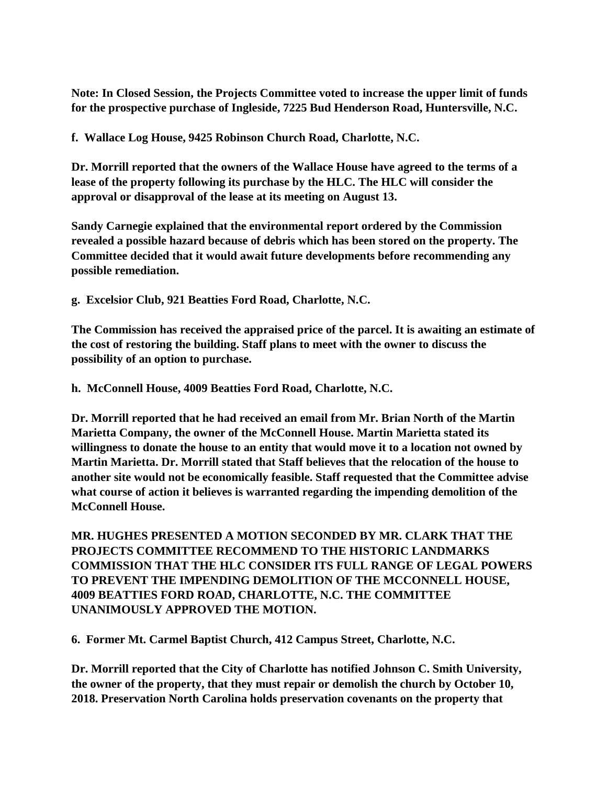**Note: In Closed Session, the Projects Committee voted to increase the upper limit of funds for the prospective purchase of Ingleside, 7225 Bud Henderson Road, Huntersville, N.C.** 

**f. Wallace Log House, 9425 Robinson Church Road, Charlotte, N.C.**

**Dr. Morrill reported that the owners of the Wallace House have agreed to the terms of a lease of the property following its purchase by the HLC. The HLC will consider the approval or disapproval of the lease at its meeting on August 13.** 

**Sandy Carnegie explained that the environmental report ordered by the Commission revealed a possible hazard because of debris which has been stored on the property. The Committee decided that it would await future developments before recommending any possible remediation.** 

**g. Excelsior Club, 921 Beatties Ford Road, Charlotte, N.C.**

**The Commission has received the appraised price of the parcel. It is awaiting an estimate of the cost of restoring the building. Staff plans to meet with the owner to discuss the possibility of an option to purchase.**

**h. McConnell House, 4009 Beatties Ford Road, Charlotte, N.C.**

**Dr. Morrill reported that he had received an email from Mr. Brian North of the Martin Marietta Company, the owner of the McConnell House. Martin Marietta stated its willingness to donate the house to an entity that would move it to a location not owned by Martin Marietta. Dr. Morrill stated that Staff believes that the relocation of the house to another site would not be economically feasible. Staff requested that the Committee advise what course of action it believes is warranted regarding the impending demolition of the McConnell House.** 

**MR. HUGHES PRESENTED A MOTION SECONDED BY MR. CLARK THAT THE PROJECTS COMMITTEE RECOMMEND TO THE HISTORIC LANDMARKS COMMISSION THAT THE HLC CONSIDER ITS FULL RANGE OF LEGAL POWERS TO PREVENT THE IMPENDING DEMOLITION OF THE MCCONNELL HOUSE, 4009 BEATTIES FORD ROAD, CHARLOTTE, N.C. THE COMMITTEE UNANIMOUSLY APPROVED THE MOTION.** 

**6. Former Mt. Carmel Baptist Church, 412 Campus Street, Charlotte, N.C.**

**Dr. Morrill reported that the City of Charlotte has notified Johnson C. Smith University, the owner of the property, that they must repair or demolish the church by October 10, 2018. Preservation North Carolina holds preservation covenants on the property that**